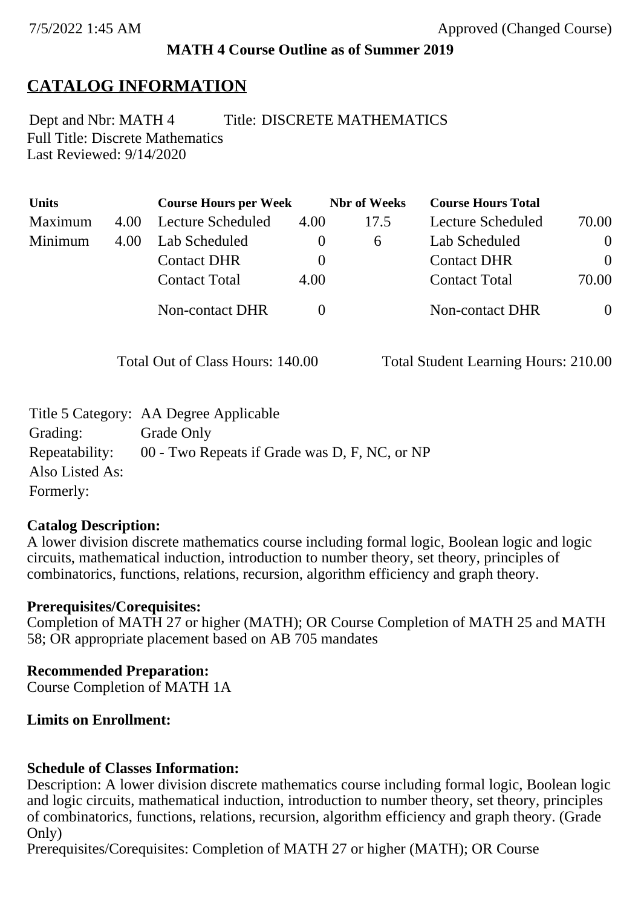## **MATH 4 Course Outline as of Summer 2019**

# **CATALOG INFORMATION**

Full Title: Discrete Mathematics Last Reviewed: 9/14/2020 Dept and Nbr: MATH 4 Title: DISCRETE MATHEMATICS

| <b>Units</b> |      | <b>Course Hours per Week</b> |          | <b>Nbr</b> of Weeks | <b>Course Hours Total</b> |                |
|--------------|------|------------------------------|----------|---------------------|---------------------------|----------------|
| Maximum      | 4.00 | Lecture Scheduled            | 4.00     | 17.5                | Lecture Scheduled         | 70.00          |
| Minimum      | 4.00 | Lab Scheduled                | O        | 6                   | Lab Scheduled             | $\overline{0}$ |
|              |      | <b>Contact DHR</b>           | $\theta$ |                     | <b>Contact DHR</b>        | $\theta$       |
|              |      | <b>Contact Total</b>         | 4.00     |                     | <b>Contact Total</b>      | 70.00          |
|              |      | Non-contact DHR              |          |                     | Non-contact DHR           | $\overline{0}$ |

Total Out of Class Hours: 140.00 Total Student Learning Hours: 210.00

|                 | Title 5 Category: AA Degree Applicable        |
|-----------------|-----------------------------------------------|
| Grading:        | Grade Only                                    |
| Repeatability:  | 00 - Two Repeats if Grade was D, F, NC, or NP |
| Also Listed As: |                                               |
| Formerly:       |                                               |

## **Catalog Description:**

A lower division discrete mathematics course including formal logic, Boolean logic and logic circuits, mathematical induction, introduction to number theory, set theory, principles of combinatorics, functions, relations, recursion, algorithm efficiency and graph theory.

## **Prerequisites/Corequisites:**

Completion of MATH 27 or higher (MATH); OR Course Completion of MATH 25 and MATH 58; OR appropriate placement based on AB 705 mandates

## **Recommended Preparation:**

Course Completion of MATH 1A

## **Limits on Enrollment:**

## **Schedule of Classes Information:**

Description: A lower division discrete mathematics course including formal logic, Boolean logic and logic circuits, mathematical induction, introduction to number theory, set theory, principles of combinatorics, functions, relations, recursion, algorithm efficiency and graph theory. (Grade Only)

Prerequisites/Corequisites: Completion of MATH 27 or higher (MATH); OR Course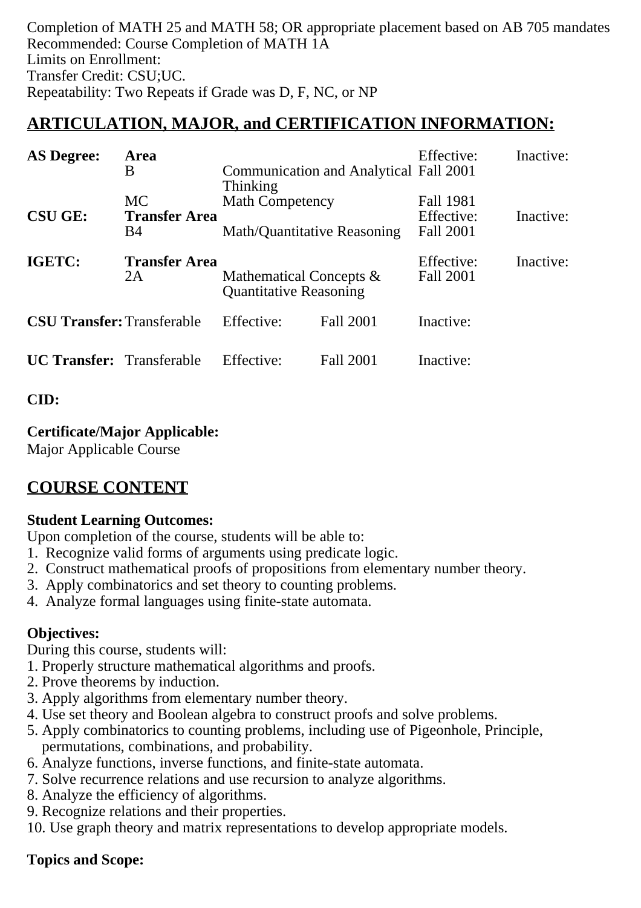Completion of MATH 25 and MATH 58; OR appropriate placement based on AB 705 mandates Recommended: Course Completion of MATH 1A Limits on Enrollment: Transfer Credit: CSU;UC. Repeatability: Two Repeats if Grade was D, F, NC, or NP

# **ARTICULATION, MAJOR, and CERTIFICATION INFORMATION:**

| <b>AS Degree:</b>                 | Area<br>B                                       | Communication and Analytical Fall 2001                                   |                  | Effective:                           | Inactive: |
|-----------------------------------|-------------------------------------------------|--------------------------------------------------------------------------|------------------|--------------------------------------|-----------|
| <b>CSU GE:</b>                    | <b>MC</b><br><b>Transfer Area</b><br><b>B</b> 4 | <b>Thinking</b><br><b>Math Competency</b><br>Math/Quantitative Reasoning |                  | Fall 1981<br>Effective:<br>Fall 2001 | Inactive: |
| IGETC:                            | <b>Transfer Area</b><br>2A                      | Mathematical Concepts $\&$<br><b>Quantitative Reasoning</b>              |                  | Effective:<br>Fall 2001              | Inactive: |
| <b>CSU Transfer:</b> Transferable |                                                 | Effective:                                                               | <b>Fall 2001</b> | Inactive:                            |           |
| <b>UC Transfer:</b> Transferable  |                                                 | Effective:                                                               | Fall 2001        | Inactive:                            |           |

# **CID:**

## **Certificate/Major Applicable:**

[Major Applicable Course](SR_ClassCheck.aspx?CourseKey=MATH4)

# **COURSE CONTENT**

# **Student Learning Outcomes:**

Upon completion of the course, students will be able to:

- 1. Recognize valid forms of arguments using predicate logic.
- 2. Construct mathematical proofs of propositions from elementary number theory.
- 3. Apply combinatorics and set theory to counting problems.
- 4. Analyze formal languages using finite-state automata.

# **Objectives:**

During this course, students will:

- 1. Properly structure mathematical algorithms and proofs.
- 2. Prove theorems by induction.
- 3. Apply algorithms from elementary number theory.
- 4. Use set theory and Boolean algebra to construct proofs and solve problems.
- 5. Apply combinatorics to counting problems, including use of Pigeonhole, Principle, permutations, combinations, and probability.
- 6. Analyze functions, inverse functions, and finite-state automata.
- 7. Solve recurrence relations and use recursion to analyze algorithms.
- 8. Analyze the efficiency of algorithms.
- 9. Recognize relations and their properties.
- 10. Use graph theory and matrix representations to develop appropriate models.

# **Topics and Scope:**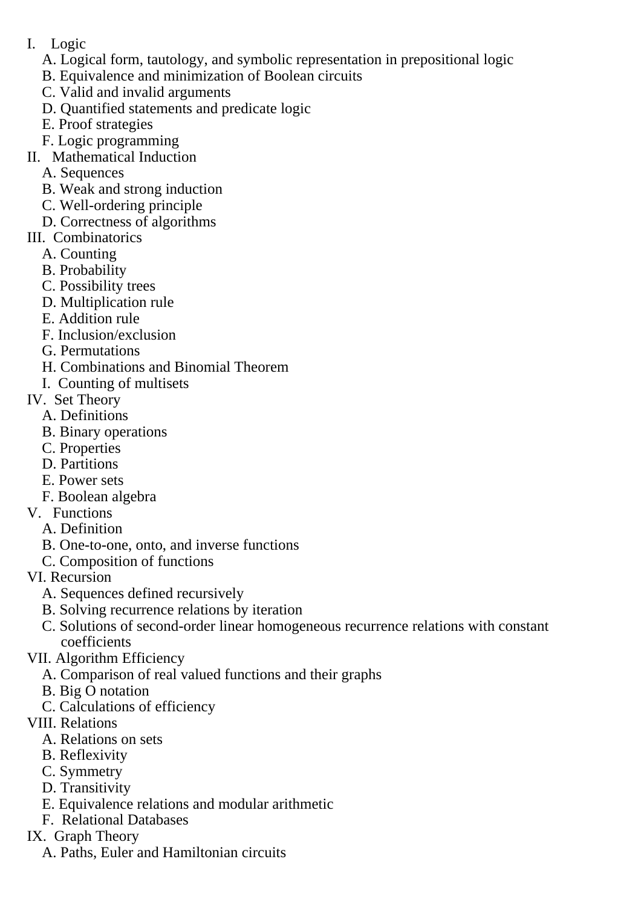I. Logic

A. Logical form, tautology, and symbolic representation in prepositional logic

- B. Equivalence and minimization of Boolean circuits
- C. Valid and invalid arguments
- D. Quantified statements and predicate logic
- E. Proof strategies
- F. Logic programming
- II. Mathematical Induction
	- A. Sequences
	- B. Weak and strong induction
	- C. Well-ordering principle
	- D. Correctness of algorithms
- III. Combinatorics
	- A. Counting
	- B. Probability
	- C. Possibility trees
	- D. Multiplication rule
	- E. Addition rule
	- F. Inclusion/exclusion
	- G. Permutations
	- H. Combinations and Binomial Theorem
	- I. Counting of multisets
- IV. Set Theory
	- A. Definitions
	- B. Binary operations
	- C. Properties
	- D. Partitions
	- E. Power sets
	- F. Boolean algebra
- V. Functions
	- A. Definition
	- B. One-to-one, onto, and inverse functions
	- C. Composition of functions
- VI. Recursion
	- A. Sequences defined recursively
	- B. Solving recurrence relations by iteration
	- C. Solutions of second-order linear homogeneous recurrence relations with constant coefficients
- VII. Algorithm Efficiency
	- A. Comparison of real valued functions and their graphs
	- B. Big O notation
	- C. Calculations of efficiency
- VIII. Relations
	- A. Relations on sets
	- B. Reflexivity
	- C. Symmetry
	- D. Transitivity
	- E. Equivalence relations and modular arithmetic
	- F. Relational Databases
- IX. Graph Theory
	- A. Paths, Euler and Hamiltonian circuits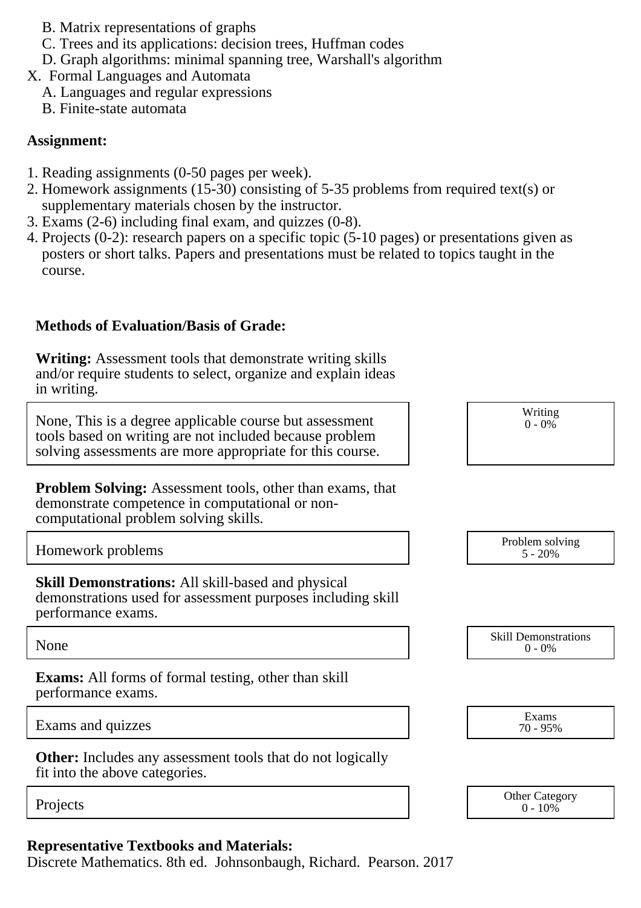- B. Matrix representations of graphs
- C. Trees and its applications: decision trees, Huffman codes
- D. Graph algorithms: minimal spanning tree, Warshall's algorithm
- X. Formal Languages and Automata
	- A. Languages and regular expressions
	- B. Finite-state automata

#### **Assignment:**

- 1. Reading assignments (0-50 pages per week).
- 2. Homework assignments (15-30) consisting of 5-35 problems from required text(s) or supplementary materials chosen by the instructor.
- 3. Exams (2-6) including final exam, and quizzes (0-8).
- 4. Projects (0-2): research papers on a specific topic (5-10 pages) or presentations given as posters or short talks. Papers and presentations must be related to topics taught in the course.

## **Methods of Evaluation/Basis of Grade:**

**Writing:** Assessment tools that demonstrate writing skills and/or require students to select, organize and explain ideas in writing.

None, This is a degree applicable course but assessment tools based on writing are not included because problem solving assessments are more appropriate for this course.

**Problem Solving:** Assessment tools, other than exams, that demonstrate competence in computational or noncomputational problem solving skills.

Homework problems

**Skill Demonstrations:** All skill-based and physical demonstrations used for assessment purposes including skill performance exams.

None Skill Demonstrations<br>  $\begin{array}{c} \text{Skill,} \\ 0 \text{ - } 0\% \end{array}$ 

**Exams:** All forms of formal testing, other than skill performance exams.

Exams and quizzes Exams and quizzes Exams

**Other:** Includes any assessment tools that do not logically fit into the above categories.

## **Representative Textbooks and Materials:**

Discrete Mathematics. 8th ed. Johnsonbaugh, Richard. Pearson. 2017

| $\sim$ , $\sim$ |  |
|-----------------|--|
|                 |  |
| Problem solving |  |
| $5 - 20%$       |  |
|                 |  |
|                 |  |

Writing  $0 - 0\%$ 

 $0 - 0\%$ 

70 - 95%

Projects Other Category Other Category Other Category Other Category  $0 - 10\%$